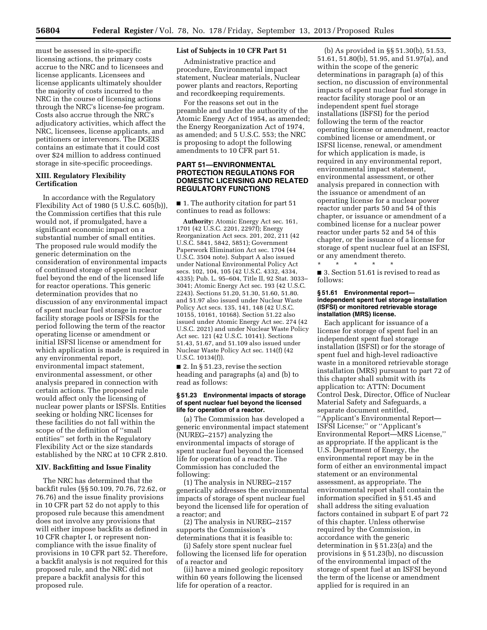must be assessed in site-specific licensing actions, the primary costs accrue to the NRC and to licensees and license applicants. Licensees and license applicants ultimately shoulder the majority of costs incurred to the NRC in the course of licensing actions through the NRC's license-fee program. Costs also accrue through the NRC's adjudicatory activities, which affect the NRC, licensees, license applicants, and petitioners or intervenors. The DGEIS contains an estimate that it could cost over \$24 million to address continued storage in site-specific proceedings.

# **XIII. Regulatory Flexibility Certification**

In accordance with the Regulatory Flexibility Act of 1980 (5 U.S.C. 605(b)), the Commission certifies that this rule would not, if promulgated, have a significant economic impact on a substantial number of small entities. The proposed rule would modify the generic determination on the consideration of environmental impacts of continued storage of spent nuclear fuel beyond the end of the licensed life for reactor operations. This generic determination provides that no discussion of any environmental impact of spent nuclear fuel storage in reactor facility storage pools or ISFSIs for the period following the term of the reactor operating license or amendment or initial ISFSI license or amendment for which application is made is required in any environmental report, environmental impact statement, environmental assessment, or other analysis prepared in connection with certain actions. The proposed rule would affect only the licensing of nuclear power plants or ISFSIs. Entities seeking or holding NRC licenses for these facilities do not fall within the scope of the definition of ''small entities'' set forth in the Regulatory Flexibility Act or the size standards established by the NRC at 10 CFR 2.810.

### **XIV. Backfitting and Issue Finality**

The NRC has determined that the backfit rules (§§ 50.109, 70.76, 72.62, or 76.76) and the issue finality provisions in 10 CFR part 52 do not apply to this proposed rule because this amendment does not involve any provisions that will either impose backfits as defined in 10 CFR chapter I, or represent noncompliance with the issue finality of provisions in 10 CFR part 52. Therefore, a backfit analysis is not required for this proposed rule, and the NRC did not prepare a backfit analysis for this proposed rule.

## **List of Subjects in 10 CFR Part 51**

Administrative practice and procedure, Environmental impact statement, Nuclear materials, Nuclear power plants and reactors, Reporting and recordkeeping requirements.

For the reasons set out in the preamble and under the authority of the Atomic Energy Act of 1954, as amended; the Energy Reorganization Act of 1974, as amended; and 5 U.S.C. 553; the NRC is proposing to adopt the following amendments to 10 CFR part 51.

# **PART 51—ENVIRONMENTAL PROTECTION REGULATIONS FOR DOMESTIC LICENSING AND RELATED REGULATORY FUNCTIONS**

■ 1. The authority citation for part 51 continues to read as follows:

**Authority:** Atomic Energy Act sec. 161, 1701 (42 U.S.C. 2201, 2297f); Energy Reorganization Act secs. 201, 202, 211 (42 U.S.C. 5841, 5842, 5851); Government Paperwork Elimination Act sec. 1704 (44 U.S.C. 3504 note). Subpart A also issued under National Environmental Policy Act secs. 102, 104, 105 (42 U.S.C. 4332, 4334, 4335); Pub. L. 95–604, Title II, 92 Stat. 3033– 3041; Atomic Energy Act sec. 193 (42 U.S.C. 2243). Sections 51.20, 51.30, 51.60, 51.80. and 51.97 also issued under Nuclear Waste Policy Act secs. 135, 141, 148 (42 U.S.C. 10155, 10161, 10168). Section 51.22 also issued under Atomic Energy Act sec. 274 (42 U.S.C. 2021) and under Nuclear Waste Policy Act sec. 121 (42 U.S.C. 10141). Sections 51.43, 51.67, and 51.109 also issued under Nuclear Waste Policy Act sec. 114(f) (42 U.S.C. 10134(f)).

■ 2. In § 51.23, revise the section heading and paragraphs (a) and (b) to read as follows:

#### **§ 51.23 Environmental impacts of storage of spent nuclear fuel beyond the licensed life for operation of a reactor.**

(a) The Commission has developed a generic environmental impact statement (NUREG–2157) analyzing the environmental impacts of storage of spent nuclear fuel beyond the licensed life for operation of a reactor. The Commission has concluded the following:

(1) The analysis in NUREG–2157 generically addresses the environmental impacts of storage of spent nuclear fuel beyond the licensed life for operation of a reactor; and

(2) The analysis in NUREG–2157 supports the Commission's determinations that it is feasible to:

(i) Safely store spent nuclear fuel following the licensed life for operation of a reactor and

(ii) have a mined geologic repository within 60 years following the licensed life for operation of a reactor.

(b) As provided in §§ 51.30(b), 51.53, 51.61, 51.80(b), 51.95, and 51.97(a), and within the scope of the generic determinations in paragraph (a) of this section, no discussion of environmental impacts of spent nuclear fuel storage in reactor facility storage pool or an independent spent fuel storage installations (ISFSI) for the period following the term of the reactor operating license or amendment, reactor combined license or amendment, or ISFSI license, renewal, or amendment for which application is made, is required in any environmental report, environmental impact statement, environmental assessment, or other analysis prepared in connection with the issuance or amendment of an operating license for a nuclear power reactor under parts 50 and 54 of this chapter, or issuance or amendment of a combined license for a nuclear power reactor under parts 52 and 54 of this chapter, or the issuance of a license for storage of spent nuclear fuel at an ISFSI, or any amendment thereto.

■ 3. Section 51.61 is revised to read as follows:

\* \* \* \* \*

#### **§ 51.61 Environmental report independent spent fuel storage installation (ISFSI) or monitored retrievable storage installation (MRS) license.**

Each applicant for issuance of a license for storage of spent fuel in an independent spent fuel storage installation (ISFSI) or for the storage of spent fuel and high-level radioactive waste in a monitored retrievable storage installation (MRS) pursuant to part 72 of this chapter shall submit with its application to: ATTN: Document Control Desk, Director, Office of Nuclear Material Safety and Safeguards, a separate document entitled, ''Applicant's Environmental Report— ISFSI License;'' or ''Applicant's Environmental Report—MRS License,'' as appropriate. If the applicant is the U.S. Department of Energy, the environmental report may be in the form of either an environmental impact statement or an environmental assessment, as appropriate. The environmental report shall contain the information specified in § 51.45 and shall address the siting evaluation factors contained in subpart E of part 72 of this chapter. Unless otherwise required by the Commission, in accordance with the generic determination in § 51.23(a) and the provisions in § 51.23(b), no discussion of the environmental impact of the storage of spent fuel at an ISFSI beyond the term of the license or amendment applied for is required in an